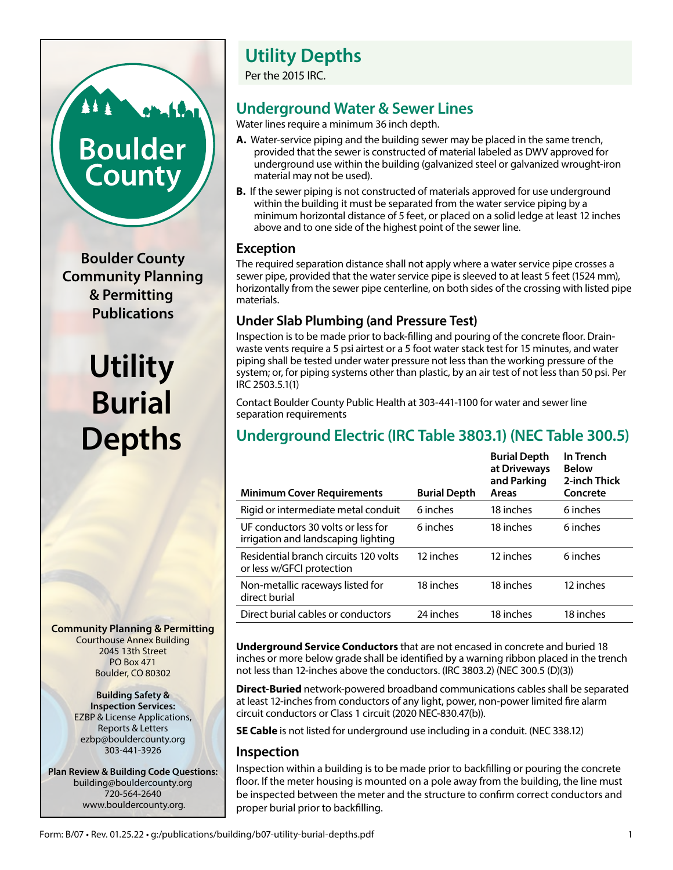# **Boulder County**

**Boulder County Community Planning & Permitting Publications**

## **Utility Burial Depths**

**Community Planning & Permitting** Courthouse Annex Building 2045 13th Street PO Box 471 Boulder, CO 80302

> **Building Safety & Inspection Services:** EZBP & License Applications, Reports & Letters ezbp@bouldercounty.org 303-441-3926

**Plan Review & Building Code Questions:** building@bouldercounty.org 720-564-2640 www.bouldercounty.org.

## **Utility Depths**

Per the 2015 IRC.

## **Underground Water & Sewer Lines**

Water lines require a minimum 36 inch depth.

- **A.** Water-service piping and the building sewer may be placed in the same trench, provided that the sewer is constructed of material labeled as DWV approved for underground use within the building (galvanized steel or galvanized wrought-iron material may not be used).
- **B.** If the sewer piping is not constructed of materials approved for use underground within the building it must be separated from the water service piping by a minimum horizontal distance of 5 feet, or placed on a solid ledge at least 12 inches above and to one side of the highest point of the sewer line.

#### **Exception**

The required separation distance shall not apply where a water service pipe crosses a sewer pipe, provided that the water service pipe is sleeved to at least 5 feet (1524 mm), horizontally from the sewer pipe centerline, on both sides of the crossing with listed pipe materials.

### **Under Slab Plumbing (and Pressure Test)**

Inspection is to be made prior to back-filling and pouring of the concrete floor. Drainwaste vents require a 5 psi airtest or a 5 foot water stack test for 15 minutes, and water piping shall be tested under water pressure not less than the working pressure of the system; or, for piping systems other than plastic, by an air test of not less than 50 psi. Per IRC 2503.5.1(1)

Contact Boulder County Public Health at 303-441-1100 for water and sewer line separation requirements

## **Underground Electric (IRC Table 3803.1) (NEC Table 300.5)**

| <b>Minimum Cover Requirements</b>                                         | <b>Burial Depth</b> | <b>Burial Depth</b><br>at Driveways<br>and Parking<br>Areas | In Trench<br><b>Below</b><br>2-inch Thick<br>Concrete |
|---------------------------------------------------------------------------|---------------------|-------------------------------------------------------------|-------------------------------------------------------|
| Rigid or intermediate metal conduit                                       | 6 inches            | 18 inches                                                   | 6 inches                                              |
| UE conductors 30 volts or less for<br>irrigation and landscaping lighting | 6 inches            | 18 inches                                                   | 6 inches                                              |
| Residential branch circuits 120 volts<br>or less w/GFCI protection        | 12 inches           | 12 inches                                                   | 6 inches                                              |
| Non-metallic raceways listed for<br>direct burial                         | 18 inches           | 18 inches                                                   | 12 inches                                             |
| Direct burial cables or conductors                                        | 24 inches           | 18 inches                                                   | 18 inches                                             |
|                                                                           |                     |                                                             |                                                       |

**Underground Service Conductors** that are not encased in concrete and buried 18 inches or more below grade shall be identified by a warning ribbon placed in the trench not less than 12-inches above the conductors. (IRC 3803.2) (NEC 300.5 (D)(3))

**Direct-Buried** network-powered broadband communications cables shall be separated at least 12-inches from conductors of any light, power, non-power limited fire alarm circuit conductors or Class 1 circuit (2020 NEC-830.47(b)).

**SE Cable** is not listed for underground use including in a conduit. (NEC 338.12)

#### **Inspection**

Inspection within a building is to be made prior to backfilling or pouring the concrete floor. If the meter housing is mounted on a pole away from the building, the line must be inspected between the meter and the structure to confirm correct conductors and proper burial prior to backfilling.